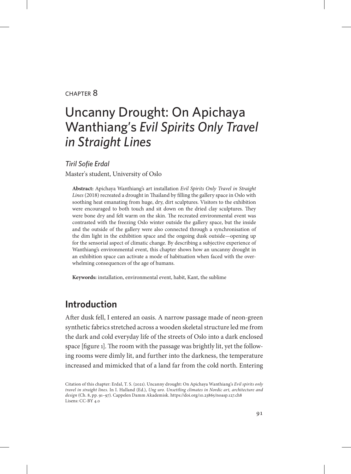#### chapter 8

# Uncanny Drought: On Apichaya Wanthiang's *Evil Spirits Only Travel in Straight Lines*

*Tiril Sofie Erdal*

Master's student, University of Oslo

**Abstract:** Apichaya Wanthiang's art installation *Evil Spirits Only Travel in Straight Lines* (2018) recreated a drought in Thailand by filling the gallery space in Oslo with soothing heat emanating from huge, dry, dirt sculptures. Visitors to the exhibition were encouraged to both touch and sit down on the dried clay sculptures. They were bone dry and felt warm on the skin. The recreated environmental event was contrasted with the freezing Oslo winter outside the gallery space, but the inside and the outside of the gallery were also connected through a synchronisation of the dim light in the exhibition space and the ongoing dusk outside—opening up for the sensorial aspect of climatic change. By describing a subjective experience of Wanthiang's environmental event, this chapter shows how an uncanny drought in an exhibition space can activate a mode of habituation when faced with the overwhelming consequences of the age of humans.

**Keywords:** installation, environmental event, habit, Kant, the sublime

## **Introduction**

After dusk fell, I entered an oasis. A narrow passage made of neon-green synthetic fabrics stretched across a wooden skeletal structure led me from the dark and cold everyday life of the streets of Oslo into a dark enclosed space [figure 1]. The room with the passage was brightly lit, yet the following rooms were dimly lit, and further into the darkness, the temperature increased and mimicked that of a land far from the cold north. Entering

Citation of this chapter: Erdal, T. S. (2021). Uncanny drought: On Apichaya Wanthiang's *Evil spirits only travel in straight lines*. In I. Halland (Ed.), *Ung uro. Unsettling climates in Nordic art, architecture and design* (Ch. 8, pp. 91–97). Cappelen Damm Akademisk. https://doi.org/10.23865/noasp.127.ch8 Lisens: CC-BY 4.0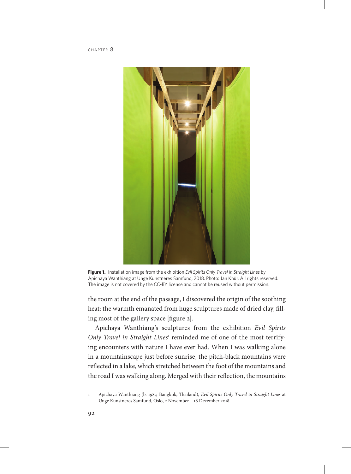

**Figure 1.** Installation image from the exhibition *Evil Spirits Only Travel in Straight Lines* by Apichaya Wanthiang at Unge Kunstneres Samfund, 2018. Photo: Jan Khür. All rights reserved. The image is not covered by the CC-BY license and cannot be reused without permission.

the room at the end of the passage, I discovered the origin of the soothing heat: the warmth emanated from huge sculptures made of dried clay, filling most of the gallery space [figure 2].

Apichaya Wanthiang's sculptures from the exhibition *Evil Spirits*  Only Travel in Straight Lines<sup>1</sup> reminded me of one of the most terrifying encounters with nature I have ever had. When I was walking alone in a mountainscape just before sunrise, the pitch-black mountains were reflected in a lake, which stretched between the foot of the mountains and the road I was walking along. Merged with their reflection, the mountains

<sup>1</sup> Apichaya Wanthiang (b. 1987, Bangkok, Thailand), *Evil Spirits Only Travel in Straight Lines* at Unge Kunstneres Samfund, Oslo, 2 November – 16 December 2018.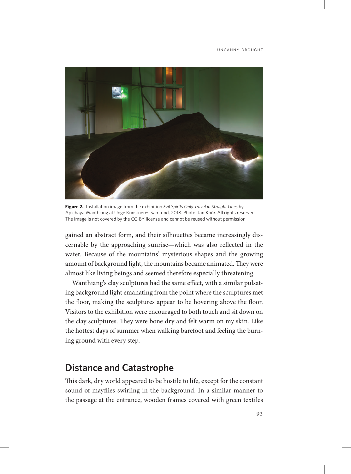

**Figure 2.** Installation image from the exhibition *Evil Spirits Only Travel in Straight Lines* by Apichaya Wanthiang at Unge Kunstneres Samfund, 2018. Photo: Jan Khür. All rights reserved. The image is not covered by the CC-BY license and cannot be reused without permission.

gained an abstract form, and their silhouettes became increasingly discernable by the approaching sunrise—which was also reflected in the water. Because of the mountains' mysterious shapes and the growing amount of background light, the mountains became animated. They were almost like living beings and seemed therefore especially threatening.

Wanthiang's clay sculptures had the same effect, with a similar pulsating background light emanating from the point where the sculptures met the floor, making the sculptures appear to be hovering above the floor. Visitors to the exhibition were encouraged to both touch and sit down on the clay sculptures. They were bone dry and felt warm on my skin. Like the hottest days of summer when walking barefoot and feeling the burning ground with every step.

### **Distance and Catastrophe**

This dark, dry world appeared to be hostile to life, except for the constant sound of mayflies swirling in the background. In a similar manner to the passage at the entrance, wooden frames covered with green textiles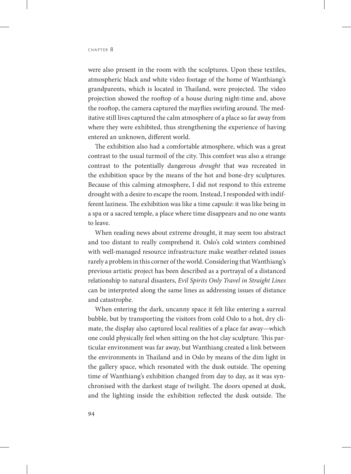were also present in the room with the sculptures. Upon these textiles, atmospheric black and white video footage of the home of Wanthiang's grandparents, which is located in Thailand, were projected. The video projection showed the rooftop of a house during night-time and, above the rooftop, the camera captured the mayflies swirling around. The meditative still lives captured the calm atmosphere of a place so far away from where they were exhibited, thus strengthening the experience of having entered an unknown, different world.

The exhibition also had a comfortable atmosphere, which was a great contrast to the usual turmoil of the city. This comfort was also a strange contrast to the potentially dangerous *drought* that was recreated in the exhibition space by the means of the hot and bone-dry sculptures. Because of this calming atmosphere, I did not respond to this extreme drought with a desire to escape the room. Instead, I responded with indifferent laziness. The exhibition was like a time capsule: it was like being in a spa or a sacred temple, a place where time disappears and no one wants to leave.

When reading news about extreme drought, it may seem too abstract and too distant to really comprehend it. Oslo's cold winters combined with well-managed resource infrastructure make weather-related issues rarely a problem in this corner of the world. Considering that Wanthiang's previous artistic project has been described as a portrayal of a distanced relationship to natural disasters, *Evil Spirits Only Travel in Straight Lines*  can be interpreted along the same lines as addressing issues of distance and catastrophe.

When entering the dark, uncanny space it felt like entering a surreal bubble, but by transporting the visitors from cold Oslo to a hot, dry climate, the display also captured local realities of a place far away—which one could physically feel when sitting on the hot clay sculpture. This particular environment was far away, but Wanthiang created a link between the environments in Thailand and in Oslo by means of the dim light in the gallery space, which resonated with the dusk outside. The opening time of Wanthiang's exhibition changed from day to day, as it was synchronised with the darkest stage of twilight. The doors opened at dusk, and the lighting inside the exhibition reflected the dusk outside. The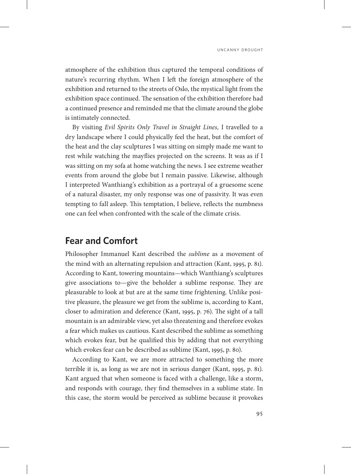UNCANNY DROUGHT

atmosphere of the exhibition thus captured the temporal conditions of nature's recurring rhythm. When I left the foreign atmosphere of the exhibition and returned to the streets of Oslo, the mystical light from the exhibition space continued. The sensation of the exhibition therefore had a continued presence and reminded me that the climate around the globe is intimately connected.

By visiting *Evil Spirits Only Travel in Straight Lines,* I travelled to a dry landscape where I could physically feel the heat, but the comfort of the heat and the clay sculptures I was sitting on simply made me want to rest while watching the mayflies projected on the screens. It was as if I was sitting on my sofa at home watching the news. I see extreme weather events from around the globe but I remain passive. Likewise, although I interpreted Wanthiang's exhibition as a portrayal of a gruesome scene of a natural disaster, my only response was one of passivity. It was even tempting to fall asleep. This temptation, I believe, reflects the numbness one can feel when confronted with the scale of the climate crisis.

#### **Fear and Comfort**

Philosopher Immanuel Kant described the *sublime* as a movement of the mind with an alternating repulsion and attraction (Kant, 1995, p. 81). According to Kant, towering mountains—which Wanthiang's sculptures give associations to—give the beholder a sublime response. They are pleasurable to look at but are at the same time frightening. Unlike positive pleasure, the pleasure we get from the sublime is, according to Kant, closer to admiration and deference (Kant, 1995, p. 76). The sight of a tall mountain is an admirable view, yet also threatening and therefore evokes a fear which makes us cautious. Kant described the sublime as something which evokes fear, but he qualified this by adding that not everything which evokes fear can be described as sublime (Kant, 1995, p. 80).

According to Kant, we are more attracted to something the more terrible it is, as long as we are not in serious danger (Kant, 1995, p. 81). Kant argued that when someone is faced with a challenge, like a storm, and responds with courage, they find themselves in a sublime state. In this case, the storm would be perceived as sublime because it provokes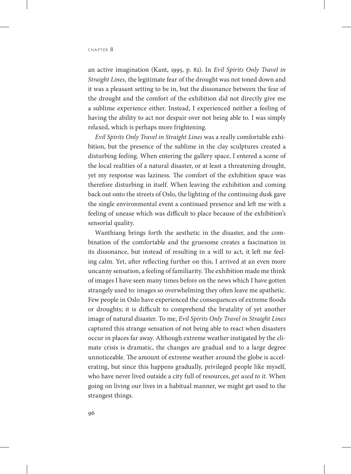an active imagination (Kant, 1995, p. 82). In *Evil Spirits Only Travel in Straight Lines,* the legitimate fear of the drought was not toned down and it was a pleasant setting to be in, but the dissonance between the fear of the drought and the comfort of the exhibition did not directly give me a sublime experience either. Instead, I experienced neither a feeling of having the ability to act nor despair over not being able to. I was simply relaxed, which is perhaps more frightening.

*Evil Spirits Only Travel in Straight Lines* was a really comfortable exhibition, but the presence of the sublime in the clay sculptures created a disturbing feeling. When entering the gallery space, I entered a scene of the local realities of a natural disaster, or at least a threatening drought, yet my response was laziness. The comfort of the exhibition space was therefore disturbing in itself. When leaving the exhibition and coming back out onto the streets of Oslo, the lighting of the continuing dusk gave the single environmental event a continued presence and left me with a feeling of unease which was difficult to place because of the exhibition's sensorial quality.

Wanthiang brings forth the aesthetic in the disaster, and the combination of the comfortable and the gruesome creates a fascination in its dissonance, but instead of resulting in a will to act, it left me feeling calm. Yet, after reflecting further on this, I arrived at an even more uncanny sensation, a feeling of familiarity. The exhibition made me think of images I have seen many times before on the news which I have gotten strangely used to: images so overwhelming they often leave me apathetic. Few people in Oslo have experienced the consequences of extreme floods or droughts; it is difficult to comprehend the brutality of yet another image of natural disaster. To me, *Evil Spirits Only Travel in Straight Lines* captured this strange sensation of not being able to react when disasters occur in places far away. Although extreme weather instigated by the climate crisis is dramatic, the changes are gradual and to a large degree unnoticeable. The amount of extreme weather around the globe is accelerating, but since this happens gradually, privileged people like myself, who have never lived outside a city full of resources, *get used to it.* When going on living our lives in a habitual manner, we might get used to the strangest things.